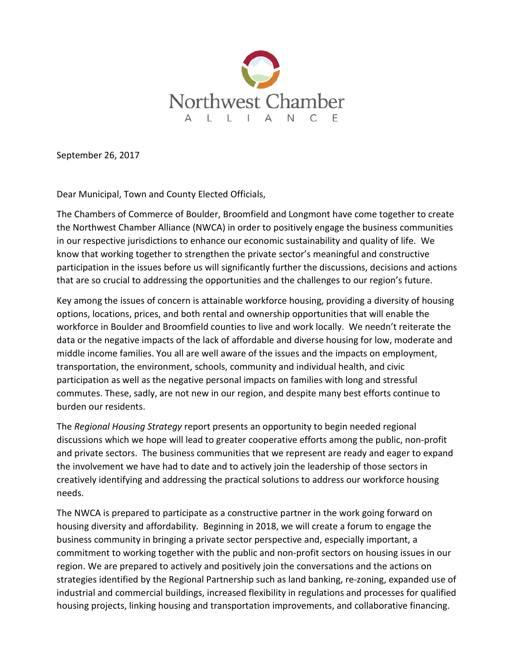

September 26, 2017

Dear Municipal, Town and County Elected Officials,

The Chambers of Commerce of Boulder, Broomfield and Longmont have come together to create the Northwest Chamber Alliance (NWCA) in order to positively engage the business communities in our respective jurisdictions to enhance our economic sustainability and quality of life. We know that working together to strengthen the private sector's meaningful and constructive participation in the issues before us will significantly further the discussions, decisions and actions that are so crucial to addressing the opportunities and the challenges to our region's future.

Key among the issues of concern is attainable workforce housing, providing a diversity of housing options, locations, prices, and both rental and ownership opportunities that will enable the workforce in Boulder and Broomfield counties to live and work locally. We needn't reiterate the data or the negative impacts of the lack of affordable and diverse housing for low, moderate and middle income families. You all are well aware of the issues and the impacts on employment, transportation, the environment, schools, community and individual health, and civic participation as well as the negative personal impacts on families with long and stressful commutes. These, sadly, are not new in our region, and despite many best efforts continue to burden our residents.

The *Regional Housing Strategy* report presents an opportunity to begin needed regional discussions which we hope will lead to greater cooperative efforts among the public, non-profit and private sectors. The business communities that we represent are ready and eager to expand the involvement we have had to date and to actively join the leadership of those sectors in creatively identifying and addressing the practical solutions to address our workforce housing needs.

The NWCA is prepared to participate as a constructive partner in the work going forward on housing diversity and affordability. Beginning in 2018, we will create a forum to engage the business community in bringing a private sector perspective and, especially important, a commitment to working together with the public and non-profit sectors on housing issues in our region. We are prepared to actively and positively join the conversations and the actions on strategies identified by the Regional Partnership such as land banking, re-zoning, expanded use of industrial and commercial buildings, increased flexibility in regulations and processes for qualified housing projects, linking housing and transportation improvements, and collaborative financing.